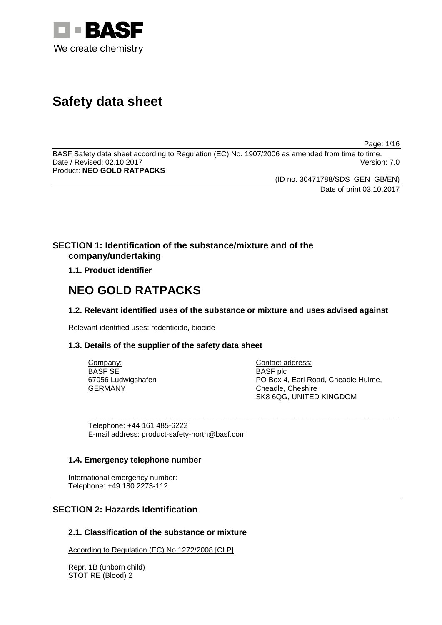

# **Safety data sheet**

Page: 1/16

BASF Safety data sheet according to Regulation (EC) No. 1907/2006 as amended from time to time. Date / Revised: 02.10.2017 Product: **NEO GOLD RATPACKS**

(ID no. 30471788/SDS\_GEN\_GB/EN)

Date of print 03.10.2017

# **SECTION 1: Identification of the substance/mixture and of the company/undertaking**

**1.1. Product identifier**

# **NEO GOLD RATPACKS**

# **1.2. Relevant identified uses of the substance or mixture and uses advised against**

Relevant identified uses: rodenticide, biocide

# **1.3. Details of the supplier of the safety data sheet**

| Company:           | Contact address:                    |
|--------------------|-------------------------------------|
| BASF SE            | <b>BASF</b> plc                     |
| 67056 Ludwigshafen | PO Box 4, Earl Road, Cheadle Hulme, |
| GERMANY            | Cheadle, Cheshire                   |
|                    | SK8 6QG, UNITED KINGDOM             |

\_\_\_\_\_\_\_\_\_\_\_\_\_\_\_\_\_\_\_\_\_\_\_\_\_\_\_\_\_\_\_\_\_\_\_\_\_\_\_\_\_\_\_\_\_\_\_\_\_\_\_\_\_\_\_\_\_\_\_\_\_\_\_\_\_\_\_\_\_\_\_\_\_\_\_

Telephone: +44 161 485-6222 E-mail address: product-safety-north@basf.com

## **1.4. Emergency telephone number**

International emergency number: Telephone: +49 180 2273-112

# **SECTION 2: Hazards Identification**

# **2.1. Classification of the substance or mixture**

According to Regulation (EC) No 1272/2008 [CLP]

Repr. 1B (unborn child) STOT RE (Blood) 2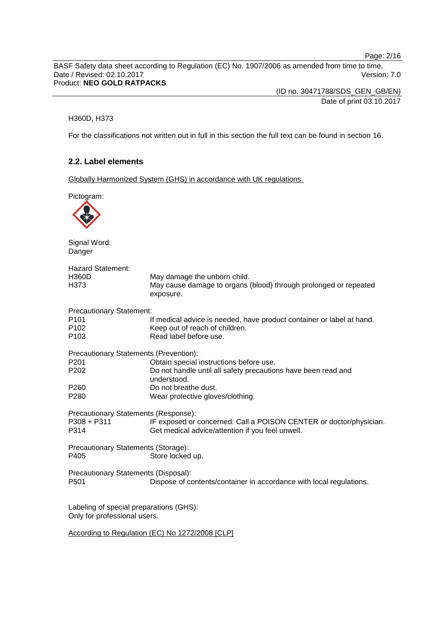Page: 2/16

BASF Safety data sheet according to Regulation (EC) No. 1907/2006 as amended from time to time. Date / Revised: 02.10.2017 Version: 7.0 Product: **NEO GOLD RATPACKS**

> (ID no. 30471788/SDS\_GEN\_GB/EN) Date of print 03.10.2017

#### H360D, H373

For the classifications not written out in full in this section the full text can be found in section 16.

## **2.2. Label elements**

Globally Harmonized System (GHS) in accordance with UK regulations.

Pictogram: Signal Word: Danger Hazard Statement: H360D May damage the unborn child. H373 May cause damage to organs (blood) through prolonged or repeated exposure. Precautionary Statement: P101 If medical advice is needed, have product container or label at hand.<br>P102 Seep out of reach of children. P102 Keep out of reach of children.<br>P103 Read label before use. Read label before use. Precautionary Statements (Prevention): P201 **Obtain special instructions before use.**<br>P202 Do not handle until all safety precaution Do not handle until all safety precautions have been read and understood. P260 Do not breathe dust.<br>P280 Wear protective dlov Wear protective gloves/clothing. Precautionary Statements (Response):<br>P308 + P311 IF exposed or P308 + P311 IF exposed or concerned: Call a POISON CENTER or doctor/physician.<br>P314 Get medical advice/attention if you feel unwell. Get medical advice/attention if you feel unwell. Precautionary Statements (Storage): P405 Store locked up. Precautionary Statements (Disposal): P501 Dispose of contents/container in accordance with local regulations. Labeling of special preparations (GHS): Only for professional users. According to Regulation (EC) No 1272/2008 [CLP]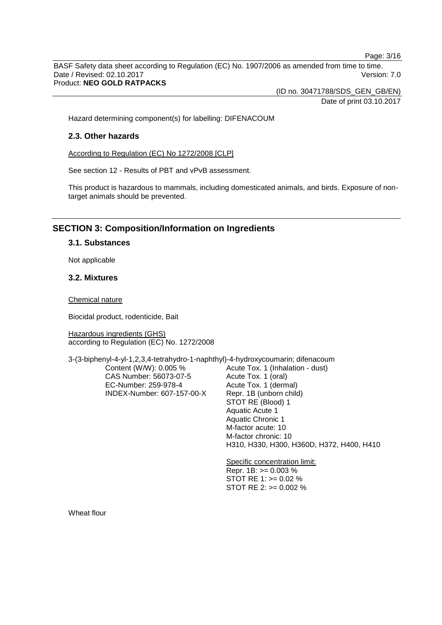Page: 3/16

BASF Safety data sheet according to Regulation (EC) No. 1907/2006 as amended from time to time. Date / Revised: 02.10.2017 Version: 7.0 Product: **NEO GOLD RATPACKS**

(ID no. 30471788/SDS\_GEN\_GB/EN)

Date of print 03.10.2017

Hazard determining component(s) for labelling: DIFENACOUM

## **2.3. Other hazards**

According to Regulation (EC) No 1272/2008 [CLP]

See section 12 - Results of PBT and vPvB assessment.

This product is hazardous to mammals, including domesticated animals, and birds. Exposure of nontarget animals should be prevented.

# **SECTION 3: Composition/Information on Ingredients**

## **3.1. Substances**

Not applicable

## **3.2. Mixtures**

Chemical nature

Biocidal product, rodenticide, Bait

Hazardous ingredients (GHS) according to Regulation (EC) No. 1272/2008

3-(3-biphenyl-4-yl-1,2,3,4-tetrahydro-1-naphthyl)-4-hydroxycoumarin; difenacoum

Content (W/W): 0.005 % CAS Number: 56073-07-5 EC-Number: 259-978-4 INDEX-Number: 607-157-00-X Acute Tox. 1 (Inhalation - dust) Acute Tox. 1 (oral) Acute Tox. 1 (dermal) Repr. 1B (unborn child) STOT RE (Blood) 1 Aquatic Acute 1 Aquatic Chronic 1 M-factor acute: 10 M-factor chronic: 10 H310, H330, H300, H360D, H372, H400, H410

Specific concentration limit: Repr. 1B: >= 0.003 % STOT RE 1: >= 0.02 % STOT RE 2: >= 0.002 %

Wheat flour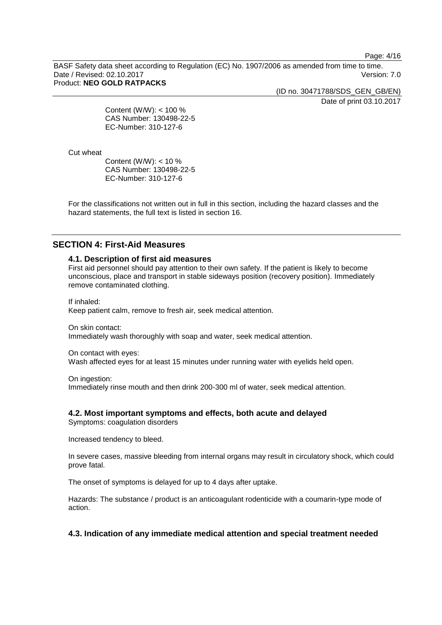Page: 4/16

BASF Safety data sheet according to Regulation (EC) No. 1907/2006 as amended from time to time. Date / Revised: 02.10.2017 Version: 7.0 Product: **NEO GOLD RATPACKS**

(ID no. 30471788/SDS\_GEN\_GB/EN)

Date of print 03.10.2017

Content (W/W): < 100 % CAS Number: 130498-22-5 EC-Number: 310-127-6

Cut wheat

Content (W/W): < 10 % CAS Number: 130498-22-5 EC-Number: 310-127-6

For the classifications not written out in full in this section, including the hazard classes and the hazard statements, the full text is listed in section 16.

## **SECTION 4: First-Aid Measures**

## **4.1. Description of first aid measures**

First aid personnel should pay attention to their own safety. If the patient is likely to become unconscious, place and transport in stable sideways position (recovery position). Immediately remove contaminated clothing.

If inhaled: Keep patient calm, remove to fresh air, seek medical attention.

On skin contact: Immediately wash thoroughly with soap and water, seek medical attention.

On contact with eyes: Wash affected eyes for at least 15 minutes under running water with eyelids held open.

On ingestion:

Immediately rinse mouth and then drink 200-300 ml of water, seek medical attention.

## **4.2. Most important symptoms and effects, both acute and delayed**

Symptoms: coagulation disorders

Increased tendency to bleed.

In severe cases, massive bleeding from internal organs may result in circulatory shock, which could prove fatal.

The onset of symptoms is delayed for up to 4 days after uptake.

Hazards: The substance / product is an anticoagulant rodenticide with a coumarin-type mode of action.

## **4.3. Indication of any immediate medical attention and special treatment needed**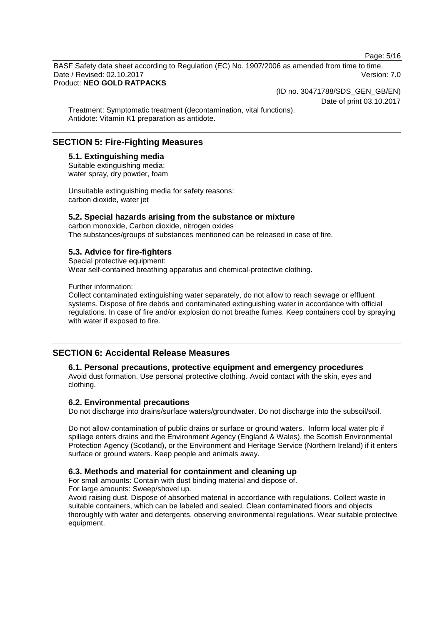Page: 5/16

BASF Safety data sheet according to Regulation (EC) No. 1907/2006 as amended from time to time. Date / Revised: 02.10.2017 **Version: 7.0** Product: **NEO GOLD RATPACKS**

(ID no. 30471788/SDS\_GEN\_GB/EN)

Date of print 03.10.2017

Treatment: Symptomatic treatment (decontamination, vital functions). Antidote: Vitamin K1 preparation as antidote.

# **SECTION 5: Fire-Fighting Measures**

**5.1. Extinguishing media** Suitable extinguishing media: water spray, dry powder, foam

Unsuitable extinguishing media for safety reasons: carbon dioxide, water jet

## **5.2. Special hazards arising from the substance or mixture**

carbon monoxide, Carbon dioxide, nitrogen oxides The substances/groups of substances mentioned can be released in case of fire.

## **5.3. Advice for fire-fighters**

Special protective equipment: Wear self-contained breathing apparatus and chemical-protective clothing.

Further information:

Collect contaminated extinguishing water separately, do not allow to reach sewage or effluent systems. Dispose of fire debris and contaminated extinguishing water in accordance with official regulations. In case of fire and/or explosion do not breathe fumes. Keep containers cool by spraying with water if exposed to fire.

# **SECTION 6: Accidental Release Measures**

#### **6.1. Personal precautions, protective equipment and emergency procedures**

Avoid dust formation. Use personal protective clothing. Avoid contact with the skin, eyes and clothing.

## **6.2. Environmental precautions**

Do not discharge into drains/surface waters/groundwater. Do not discharge into the subsoil/soil.

Do not allow contamination of public drains or surface or ground waters. Inform local water plc if spillage enters drains and the Environment Agency (England & Wales), the Scottish Environmental Protection Agency (Scotland), or the Environment and Heritage Service (Northern Ireland) if it enters surface or ground waters. Keep people and animals away.

## **6.3. Methods and material for containment and cleaning up**

For small amounts: Contain with dust binding material and dispose of. For large amounts: Sweep/shovel up.

Avoid raising dust. Dispose of absorbed material in accordance with regulations. Collect waste in suitable containers, which can be labeled and sealed. Clean contaminated floors and objects thoroughly with water and detergents, observing environmental regulations. Wear suitable protective equipment.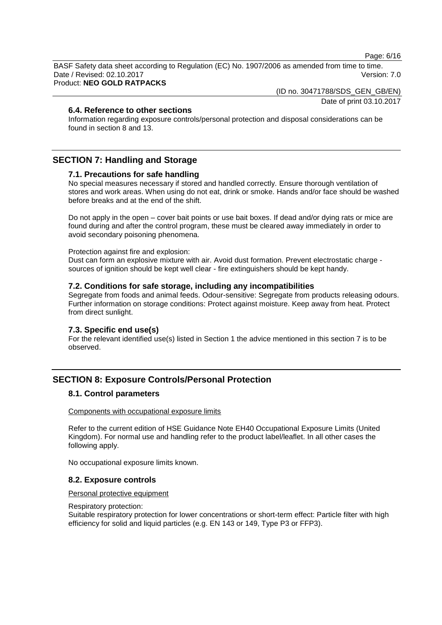Page: 6/16

BASF Safety data sheet according to Regulation (EC) No. 1907/2006 as amended from time to time. Date / Revised: 02.10.2017 **Version: 7.0** Product: **NEO GOLD RATPACKS**

(ID no. 30471788/SDS\_GEN\_GB/EN)

Date of print 03.10.2017

## **6.4. Reference to other sections**

Information regarding exposure controls/personal protection and disposal considerations can be found in section 8 and 13.

# **SECTION 7: Handling and Storage**

# **7.1. Precautions for safe handling**

No special measures necessary if stored and handled correctly. Ensure thorough ventilation of stores and work areas. When using do not eat, drink or smoke. Hands and/or face should be washed before breaks and at the end of the shift.

Do not apply in the open – cover bait points or use bait boxes. If dead and/or dying rats or mice are found during and after the control program, these must be cleared away immediately in order to avoid secondary poisoning phenomena.

Protection against fire and explosion:

Dust can form an explosive mixture with air. Avoid dust formation. Prevent electrostatic charge sources of ignition should be kept well clear - fire extinguishers should be kept handy.

## **7.2. Conditions for safe storage, including any incompatibilities**

Segregate from foods and animal feeds. Odour-sensitive: Segregate from products releasing odours. Further information on storage conditions: Protect against moisture. Keep away from heat. Protect from direct sunlight.

## **7.3. Specific end use(s)**

For the relevant identified use(s) listed in Section 1 the advice mentioned in this section 7 is to be observed.

# **SECTION 8: Exposure Controls/Personal Protection**

## **8.1. Control parameters**

#### Components with occupational exposure limits

Refer to the current edition of HSE Guidance Note EH40 Occupational Exposure Limits (United Kingdom). For normal use and handling refer to the product label/leaflet. In all other cases the following apply.

No occupational exposure limits known.

## **8.2. Exposure controls**

#### Personal protective equipment

#### Respiratory protection:

Suitable respiratory protection for lower concentrations or short-term effect: Particle filter with high efficiency for solid and liquid particles (e.g. EN 143 or 149, Type P3 or FFP3).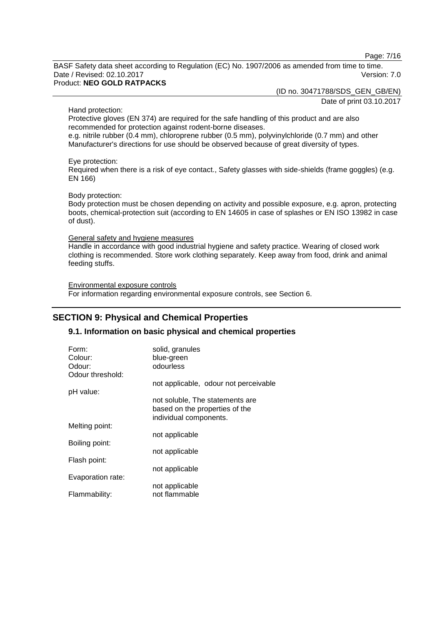Page: 7/16

BASF Safety data sheet according to Regulation (EC) No. 1907/2006 as amended from time to time. Date / Revised: 02.10.2017 Version: 7.0 Product: **NEO GOLD RATPACKS**

(ID no. 30471788/SDS\_GEN\_GB/EN)

Date of print 03.10.2017

Hand protection:

Protective gloves (EN 374) are required for the safe handling of this product and are also recommended for protection against rodent-borne diseases.

e.g. nitrile rubber (0.4 mm), chloroprene rubber (0.5 mm), polyvinylchloride (0.7 mm) and other Manufacturer's directions for use should be observed because of great diversity of types.

Eye protection:

Required when there is a risk of eye contact., Safety glasses with side-shields (frame goggles) (e.g. EN 166)

#### Body protection:

Body protection must be chosen depending on activity and possible exposure, e.g. apron, protecting boots, chemical-protection suit (according to EN 14605 in case of splashes or EN ISO 13982 in case of dust).

#### General safety and hygiene measures

Handle in accordance with good industrial hygiene and safety practice. Wearing of closed work clothing is recommended. Store work clothing separately. Keep away from food, drink and animal feeding stuffs.

Environmental exposure controls For information regarding environmental exposure controls, see Section 6.

# **SECTION 9: Physical and Chemical Properties**

## **9.1. Information on basic physical and chemical properties**

| Form:             | solid, granules                                                                             |
|-------------------|---------------------------------------------------------------------------------------------|
| Colour:           | blue-green                                                                                  |
| Odour:            | odourless                                                                                   |
| Odour threshold:  |                                                                                             |
|                   | not applicable, odour not perceivable                                                       |
| pH value:         |                                                                                             |
|                   | not soluble. The statements are<br>based on the properties of the<br>individual components. |
| Melting point:    |                                                                                             |
|                   | not applicable                                                                              |
| Boiling point:    |                                                                                             |
|                   | not applicable                                                                              |
| Flash point:      |                                                                                             |
|                   | not applicable                                                                              |
| Evaporation rate: |                                                                                             |
|                   | not applicable                                                                              |
| Flammability:     | not flammable                                                                               |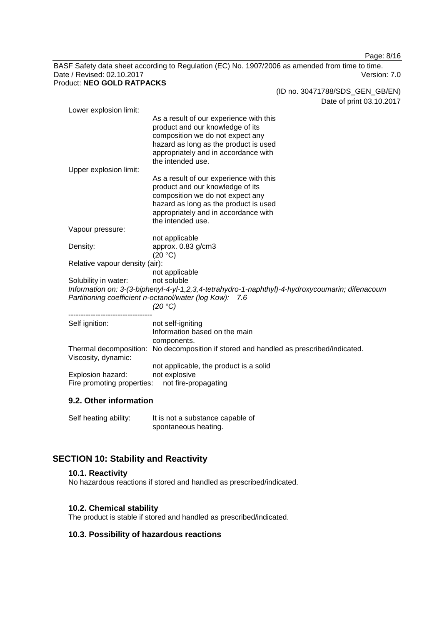Page: 8/16

BASF Safety data sheet according to Regulation (EC) No. 1907/2006 as amended from time to time. Date / Revised: 02.10.2017 Version: 7.0 Product: **NEO GOLD RATPACKS**

(ID no. 30471788/SDS\_GEN\_GB/EN)

|                                                                                                                                                            | Date of print 03.10.2017                                                               |  |
|------------------------------------------------------------------------------------------------------------------------------------------------------------|----------------------------------------------------------------------------------------|--|
| Lower explosion limit:                                                                                                                                     |                                                                                        |  |
|                                                                                                                                                            | As a result of our experience with this                                                |  |
|                                                                                                                                                            | product and our knowledge of its                                                       |  |
|                                                                                                                                                            | composition we do not expect any                                                       |  |
|                                                                                                                                                            | hazard as long as the product is used                                                  |  |
|                                                                                                                                                            | appropriately and in accordance with<br>the intended use.                              |  |
| Upper explosion limit:                                                                                                                                     |                                                                                        |  |
|                                                                                                                                                            | As a result of our experience with this                                                |  |
|                                                                                                                                                            | product and our knowledge of its                                                       |  |
|                                                                                                                                                            | composition we do not expect any                                                       |  |
|                                                                                                                                                            | hazard as long as the product is used                                                  |  |
|                                                                                                                                                            | appropriately and in accordance with                                                   |  |
|                                                                                                                                                            | the intended use.                                                                      |  |
| Vapour pressure:                                                                                                                                           |                                                                                        |  |
|                                                                                                                                                            | not applicable                                                                         |  |
| Density:                                                                                                                                                   | approx. 0.83 g/cm3                                                                     |  |
|                                                                                                                                                            | (20 °C)                                                                                |  |
| Relative vapour density (air):                                                                                                                             |                                                                                        |  |
|                                                                                                                                                            | not applicable                                                                         |  |
| Solubility in water:                                                                                                                                       | not soluble                                                                            |  |
| Information on: 3-(3-biphenyl-4-yl-1,2,3,4-tetrahydro-1-naphthyl)-4-hydroxycoumarin; difenacoum<br>Partitioning coefficient n-octanol/water (log Kow): 7.6 |                                                                                        |  |
|                                                                                                                                                            | (20 °C)                                                                                |  |
|                                                                                                                                                            |                                                                                        |  |
| Self ignition:                                                                                                                                             | not self-igniting                                                                      |  |
|                                                                                                                                                            | Information based on the main                                                          |  |
|                                                                                                                                                            | components.                                                                            |  |
|                                                                                                                                                            | Thermal decomposition: No decomposition if stored and handled as prescribed/indicated. |  |
| Viscosity, dynamic:                                                                                                                                        |                                                                                        |  |
|                                                                                                                                                            | not applicable, the product is a solid                                                 |  |
| Explosion hazard:                                                                                                                                          | not explosive                                                                          |  |
| Fire promoting properties:<br>not fire-propagating                                                                                                         |                                                                                        |  |
|                                                                                                                                                            |                                                                                        |  |
| 9.2. Other information                                                                                                                                     |                                                                                        |  |

Self heating ability: It is not a substance capable of spontaneous heating.

# **SECTION 10: Stability and Reactivity**

## **10.1. Reactivity**

No hazardous reactions if stored and handled as prescribed/indicated.

## **10.2. Chemical stability**

The product is stable if stored and handled as prescribed/indicated.

# **10.3. Possibility of hazardous reactions**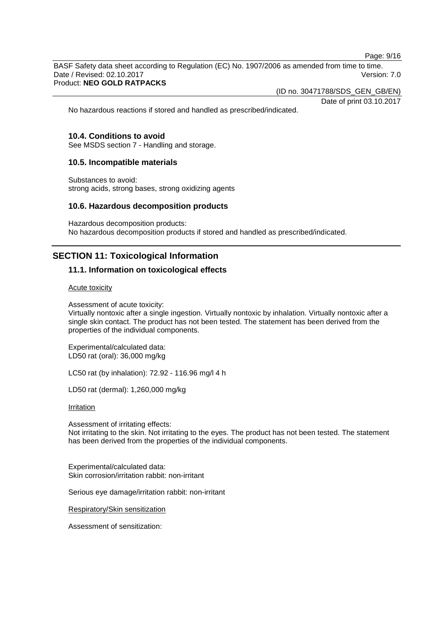Page: 9/16

BASF Safety data sheet according to Regulation (EC) No. 1907/2006 as amended from time to time. Date / Revised: 02.10.2017 Version: 7.0 Product: **NEO GOLD RATPACKS**

(ID no. 30471788/SDS\_GEN\_GB/EN)

Date of print 03.10.2017

No hazardous reactions if stored and handled as prescribed/indicated.

#### **10.4. Conditions to avoid**

See MSDS section 7 - Handling and storage.

#### **10.5. Incompatible materials**

Substances to avoid: strong acids, strong bases, strong oxidizing agents

#### **10.6. Hazardous decomposition products**

Hazardous decomposition products: No hazardous decomposition products if stored and handled as prescribed/indicated.

# **SECTION 11: Toxicological Information**

#### **11.1. Information on toxicological effects**

Acute toxicity

Assessment of acute toxicity:

Virtually nontoxic after a single ingestion. Virtually nontoxic by inhalation. Virtually nontoxic after a single skin contact. The product has not been tested. The statement has been derived from the properties of the individual components.

Experimental/calculated data: LD50 rat (oral): 36,000 mg/kg

LC50 rat (by inhalation): 72.92 - 116.96 mg/l 4 h

LD50 rat (dermal): 1,260,000 mg/kg

**Irritation** 

Assessment of irritating effects: Not irritating to the skin. Not irritating to the eyes. The product has not been tested. The statement has been derived from the properties of the individual components.

Experimental/calculated data: Skin corrosion/irritation rabbit: non-irritant

Serious eye damage/irritation rabbit: non-irritant

Respiratory/Skin sensitization

Assessment of sensitization: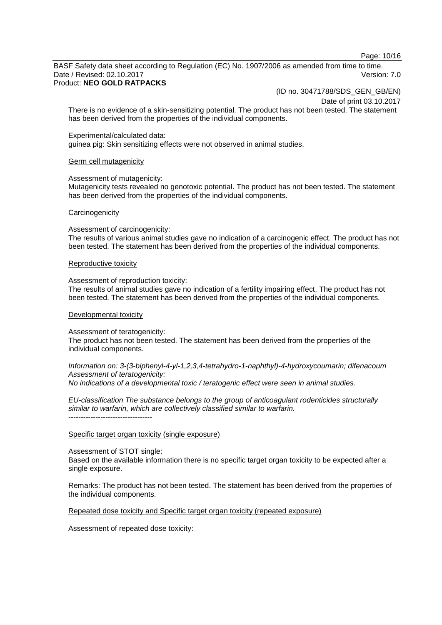Page: 10/16

BASF Safety data sheet according to Regulation (EC) No. 1907/2006 as amended from time to time. Date / Revised: 02.10.2017 **Version: 7.0** 

#### Product: **NEO GOLD RATPACKS**

(ID no. 30471788/SDS\_GEN\_GB/EN)

Date of print 03.10.2017

There is no evidence of a skin-sensitizing potential. The product has not been tested. The statement has been derived from the properties of the individual components.

Experimental/calculated data:

guinea pig: Skin sensitizing effects were not observed in animal studies.

#### Germ cell mutagenicity

Assessment of mutagenicity:

Mutagenicity tests revealed no genotoxic potential. The product has not been tested. The statement has been derived from the properties of the individual components.

#### **Carcinogenicity**

Assessment of carcinogenicity:

The results of various animal studies gave no indication of a carcinogenic effect. The product has not been tested. The statement has been derived from the properties of the individual components.

#### Reproductive toxicity

Assessment of reproduction toxicity:

The results of animal studies gave no indication of a fertility impairing effect. The product has not been tested. The statement has been derived from the properties of the individual components.

#### Developmental toxicity

Assessment of teratogenicity:

The product has not been tested. The statement has been derived from the properties of the individual components.

*Information on: 3-(3-biphenyl-4-yl-1,2,3,4-tetrahydro-1-naphthyl)-4-hydroxycoumarin; difenacoum Assessment of teratogenicity:*

*No indications of a developmental toxic / teratogenic effect were seen in animal studies.*

*EU-classification The substance belongs to the group of anticoagulant rodenticides structurally similar to warfarin, which are collectively classified similar to warfarin.* ----------------------------------

#### Specific target organ toxicity (single exposure)

Assessment of STOT single:

Based on the available information there is no specific target organ toxicity to be expected after a single exposure.

Remarks: The product has not been tested. The statement has been derived from the properties of the individual components.

Repeated dose toxicity and Specific target organ toxicity (repeated exposure)

Assessment of repeated dose toxicity: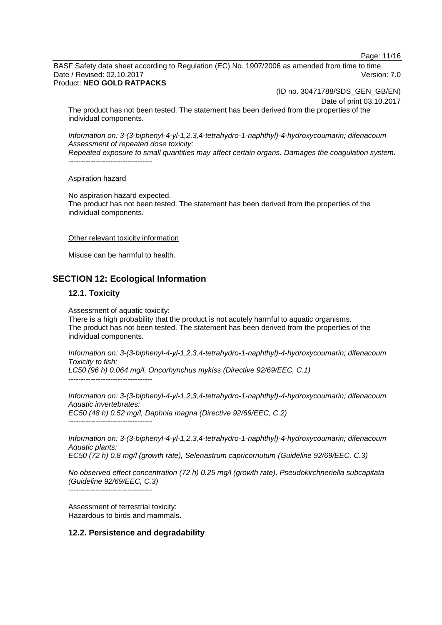Page: 11/16

BASF Safety data sheet according to Regulation (EC) No. 1907/2006 as amended from time to time. Date / Revised: 02.10.2017 **Version: 7.0** 

#### Product: **NEO GOLD RATPACKS**

(ID no. 30471788/SDS\_GEN\_GB/EN)

Date of print 03.10.2017

The product has not been tested. The statement has been derived from the properties of the individual components.

*Information on: 3-(3-biphenyl-4-yl-1,2,3,4-tetrahydro-1-naphthyl)-4-hydroxycoumarin; difenacoum Assessment of repeated dose toxicity:*

*Repeated exposure to small quantities may affect certain organs. Damages the coagulation system.* ----------------------------------

#### Aspiration hazard

No aspiration hazard expected. The product has not been tested. The statement has been derived from the properties of the individual components.

#### Other relevant toxicity information

Misuse can be harmful to health.

# **SECTION 12: Ecological Information**

#### **12.1. Toxicity**

Assessment of aquatic toxicity:

There is a high probability that the product is not acutely harmful to aquatic organisms. The product has not been tested. The statement has been derived from the properties of the individual components.

*Information on: 3-(3-biphenyl-4-yl-1,2,3,4-tetrahydro-1-naphthyl)-4-hydroxycoumarin; difenacoum Toxicity to fish:*

*LC50 (96 h) 0.064 mg/l, Oncorhynchus mykiss (Directive 92/69/EEC, C.1)* ----------------------------------

*Information on: 3-(3-biphenyl-4-yl-1,2,3,4-tetrahydro-1-naphthyl)-4-hydroxycoumarin; difenacoum Aquatic invertebrates: EC50 (48 h) 0.52 mg/l, Daphnia magna (Directive 92/69/EEC, C.2)* ----------------------------------

*Information on: 3-(3-biphenyl-4-yl-1,2,3,4-tetrahydro-1-naphthyl)-4-hydroxycoumarin; difenacoum Aquatic plants: EC50 (72 h) 0.8 mg/l (growth rate), Selenastrum capricornutum (Guideline 92/69/EEC, C.3)*

*No observed effect concentration (72 h) 0.25 mg/l (growth rate), Pseudokirchneriella subcapitata (Guideline 92/69/EEC, C.3)*

----------------------------------

Assessment of terrestrial toxicity: Hazardous to birds and mammals.

#### **12.2. Persistence and degradability**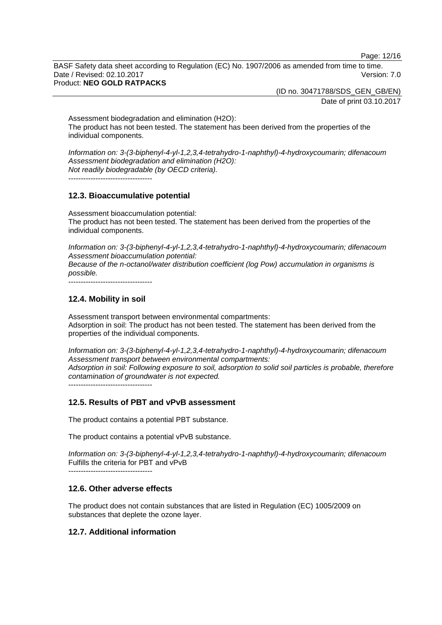Page: 12/16

BASF Safety data sheet according to Regulation (EC) No. 1907/2006 as amended from time to time. Date / Revised: 02.10.2017 **Version: 7.0** Product: **NEO GOLD RATPACKS**

> (ID no. 30471788/SDS\_GEN\_GB/EN) Date of print 03.10.2017

Assessment biodegradation and elimination (H2O): The product has not been tested. The statement has been derived from the properties of the individual components.

*Information on: 3-(3-biphenyl-4-yl-1,2,3,4-tetrahydro-1-naphthyl)-4-hydroxycoumarin; difenacoum Assessment biodegradation and elimination (H2O): Not readily biodegradable (by OECD criteria).*

----------------------------------

#### **12.3. Bioaccumulative potential**

Assessment bioaccumulation potential: The product has not been tested. The statement has been derived from the properties of the individual components.

*Information on: 3-(3-biphenyl-4-yl-1,2,3,4-tetrahydro-1-naphthyl)-4-hydroxycoumarin; difenacoum Assessment bioaccumulation potential:*

*Because of the n-octanol/water distribution coefficient (log Pow) accumulation in organisms is possible.*

----------------------------------

## **12.4. Mobility in soil**

Assessment transport between environmental compartments: Adsorption in soil: The product has not been tested. The statement has been derived from the properties of the individual components.

*Information on: 3-(3-biphenyl-4-yl-1,2,3,4-tetrahydro-1-naphthyl)-4-hydroxycoumarin; difenacoum Assessment transport between environmental compartments: Adsorption in soil: Following exposure to soil, adsorption to solid soil particles is probable, therefore contamination of groundwater is not expected.*

----------------------------------

## **12.5. Results of PBT and vPvB assessment**

The product contains a potential PBT substance.

The product contains a potential vPvB substance.

*Information on: 3-(3-biphenyl-4-yl-1,2,3,4-tetrahydro-1-naphthyl)-4-hydroxycoumarin; difenacoum* Fulfills the criteria for PBT and vPvB

*----------------------------------*

## **12.6. Other adverse effects**

The product does not contain substances that are listed in Regulation (EC) 1005/2009 on substances that deplete the ozone layer.

# **12.7. Additional information**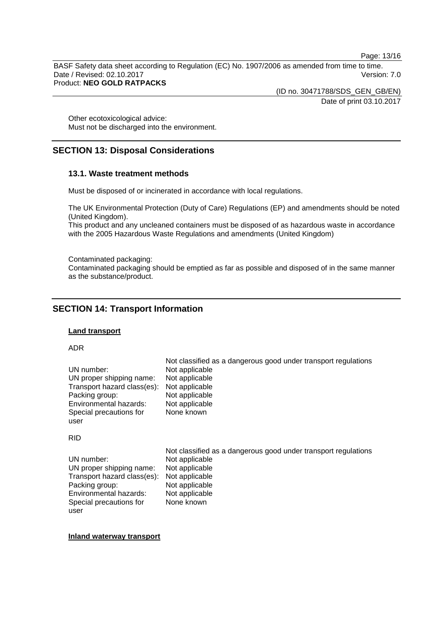Page: 13/16

BASF Safety data sheet according to Regulation (EC) No. 1907/2006 as amended from time to time. Date / Revised: 02.10.2017 Version: 7.0 Product: **NEO GOLD RATPACKS**

> (ID no. 30471788/SDS\_GEN\_GB/EN) Date of print 03.10.2017

Other ecotoxicological advice: Must not be discharged into the environment.

# **SECTION 13: Disposal Considerations**

## **13.1. Waste treatment methods**

Must be disposed of or incinerated in accordance with local regulations.

The UK Environmental Protection (Duty of Care) Regulations (EP) and amendments should be noted (United Kingdom).

This product and any uncleaned containers must be disposed of as hazardous waste in accordance with the 2005 Hazardous Waste Regulations and amendments (United Kingdom)

Contaminated packaging:

Contaminated packaging should be emptied as far as possible and disposed of in the same manner as the substance/product.

# **SECTION 14: Transport Information**

#### **Land transport**

#### ADR

|                             | Not classified as a dangerous good under transport regulations |
|-----------------------------|----------------------------------------------------------------|
| UN number:                  | Not applicable                                                 |
| UN proper shipping name:    | Not applicable                                                 |
| Transport hazard class(es): | Not applicable                                                 |
| Packing group:              | Not applicable                                                 |
| Environmental hazards:      | Not applicable                                                 |
| Special precautions for     | None known                                                     |
| user                        |                                                                |

#### RID

|                             | Not classified as a dangerous good under transport regulations |
|-----------------------------|----------------------------------------------------------------|
| UN number:                  | Not applicable                                                 |
| UN proper shipping name:    | Not applicable                                                 |
| Transport hazard class(es): | Not applicable                                                 |
| Packing group:              | Not applicable                                                 |
| Environmental hazards:      | Not applicable                                                 |
| Special precautions for     | None known                                                     |
| user                        |                                                                |

**Inland waterway transport**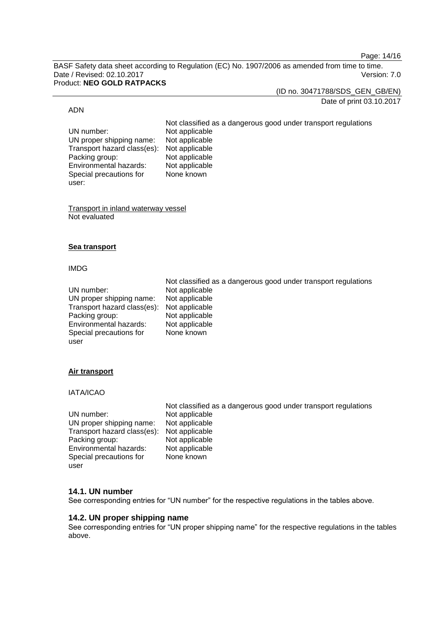Page: 14/16

BASF Safety data sheet according to Regulation (EC) No. 1907/2006 as amended from time to time. Date / Revised: 02.10.2017 Version: 7.0 Product: **NEO GOLD RATPACKS**

(ID no. 30471788/SDS\_GEN\_GB/EN)

# Date of print 03.10.2017

#### ADN

Not classified as a dangerous good under transport regulations UN number: Not applicable<br>UN proper shipping name: Not applicable UN proper shipping name: Transport hazard class(es): Not applicable<br>Packing group: Not applicable Packing group: Not applicable<br>
Environmental hazards: Not applicable Environmental hazards: Special precautions for user: None known

Transport in inland waterway vessel Not evaluated

#### **Sea transport**

#### IMDG

|                             | Not classified as a dangerous good under transport regulations |
|-----------------------------|----------------------------------------------------------------|
| UN number:                  | Not applicable                                                 |
| UN proper shipping name:    | Not applicable                                                 |
| Transport hazard class(es): | Not applicable                                                 |
| Packing group:              | Not applicable                                                 |
| Environmental hazards:      | Not applicable                                                 |
| Special precautions for     | None known                                                     |
| user                        |                                                                |

## **Air transport**

IATA/ICAO

|                                            | Not classified as a dangerous good under transport regulations |
|--------------------------------------------|----------------------------------------------------------------|
| UN number:                                 | Not applicable                                                 |
| UN proper shipping name:                   | Not applicable                                                 |
| Transport hazard class(es): Not applicable |                                                                |
| Packing group:                             | Not applicable                                                 |
| Environmental hazards:                     | Not applicable                                                 |
| Special precautions for                    | None known                                                     |
| user                                       |                                                                |

# **14.1. UN number**

See corresponding entries for "UN number" for the respective regulations in the tables above.

## **14.2. UN proper shipping name**

See corresponding entries for "UN proper shipping name" for the respective regulations in the tables above.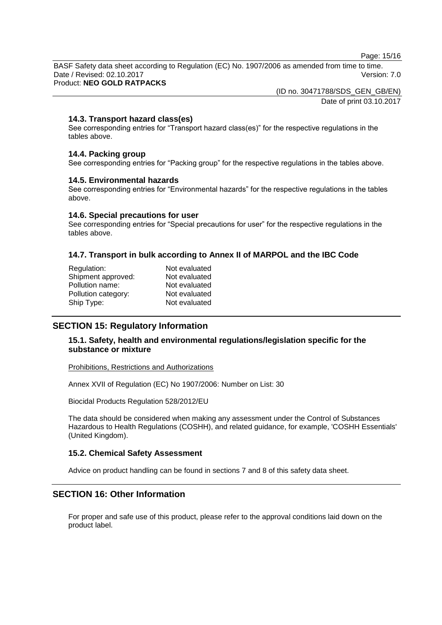Page: 15/16

BASF Safety data sheet according to Regulation (EC) No. 1907/2006 as amended from time to time. Date / Revised: 02.10.2017 Version: 7.0

Product: **NEO GOLD RATPACKS**

(ID no. 30471788/SDS\_GEN\_GB/EN)

Date of print 03.10.2017

#### **14.3. Transport hazard class(es)**

See corresponding entries for "Transport hazard class(es)" for the respective regulations in the tables above.

#### **14.4. Packing group**

See corresponding entries for "Packing group" for the respective regulations in the tables above.

#### **14.5. Environmental hazards**

See corresponding entries for "Environmental hazards" for the respective regulations in the tables above.

#### **14.6. Special precautions for user**

See corresponding entries for "Special precautions for user" for the respective regulations in the tables above.

## **14.7. Transport in bulk according to Annex II of MARPOL and the IBC Code**

| Regulation:         | Not evaluated |
|---------------------|---------------|
| Shipment approved:  | Not evaluated |
| Pollution name:     | Not evaluated |
| Pollution category: | Not evaluated |
| Ship Type:          | Not evaluated |
|                     |               |

## **SECTION 15: Regulatory Information**

## **15.1. Safety, health and environmental regulations/legislation specific for the substance or mixture**

Prohibitions, Restrictions and Authorizations

Annex XVII of Regulation (EC) No 1907/2006: Number on List: 30

Biocidal Products Regulation 528/2012/EU

The data should be considered when making any assessment under the Control of Substances Hazardous to Health Regulations (COSHH), and related guidance, for example, 'COSHH Essentials' (United Kingdom).

## **15.2. Chemical Safety Assessment**

Advice on product handling can be found in sections 7 and 8 of this safety data sheet.

# **SECTION 16: Other Information**

For proper and safe use of this product, please refer to the approval conditions laid down on the product label.